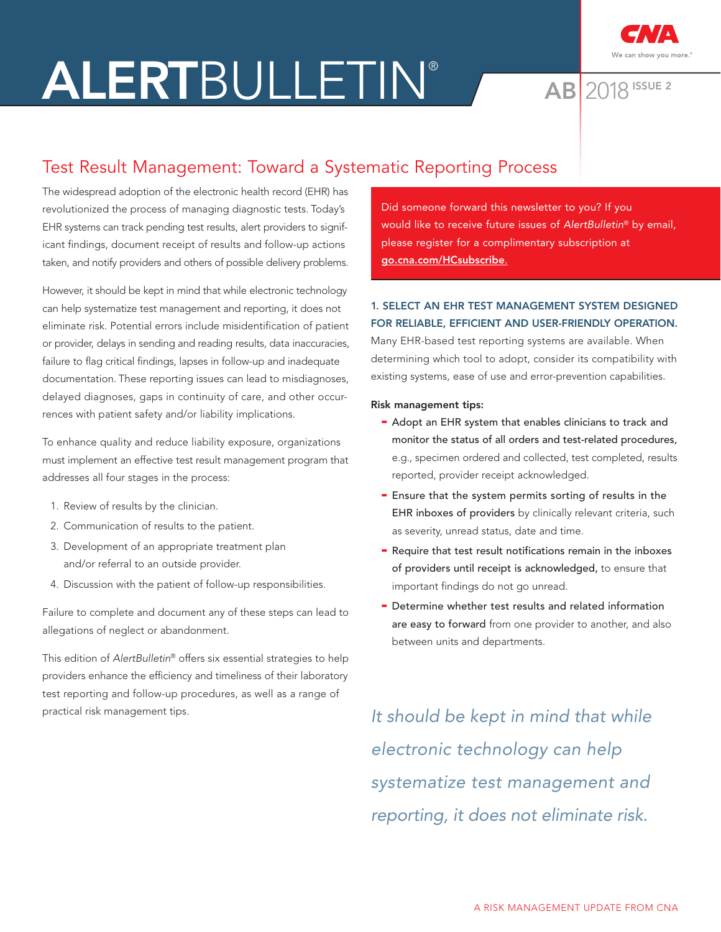# ALERTBULLETIN® AB 2018



2018 ISSUE 2

# Test Result Management: Toward a Systematic Reporting Process

The widespread adoption of the electronic health record (EHR) has revolutionized the process of managing diagnostic tests. Today's EHR systems can track pending test results, alert providers to significant findings, document receipt of results and follow-up actions taken, and notify providers and others of possible delivery problems.

However, it should be kept in mind that while electronic technology can help systematize test management and reporting, it does not eliminate risk. Potential errors include misidentification of patient or provider, delays in sending and reading results, data inaccuracies, failure to flag critical findings, lapses in follow-up and inadequate documentation. These reporting issues can lead to misdiagnoses, delayed diagnoses, gaps in continuity of care, and other occurrences with patient safety and/or liability implications.

To enhance quality and reduce liability exposure, organizations must implement an effective test result management program that addresses all four stages in the process:

- 1. Review of results by the clinician.
- 2. Communication of results to the patient.
- 3. Development of an appropriate treatment plan and/or referral to an outside provider.
- 4. Discussion with the patient of follow-up responsibilities.

Failure to complete and document any of these steps can lead to allegations of neglect or abandonment.

This edition of AlertBulletin® offers six essential strategies to help providers enhance the efficiency and timeliness of their laboratory test reporting and follow-up procedures, as well as a range of practical risk management tips.

Did someone forward this newsletter to you? If you would like to receive future issues of AlertBulletin® by email, please register for a complimentary subscription at [go.cna.com/HCsubscribe](http://go.cna.com/HCsubscribe).

# 1. SELECT AN EHR TEST MANAGEMENT SYSTEM DESIGNED FOR RELIABLE, EFFICIENT AND USER-FRIENDLY OPERATION.

Many EHR-based test reporting systems are available. When determining which tool to adopt, consider its compatibility with existing systems, ease of use and error-prevention capabilities.

## Risk management tips:

- Adopt an EHR system that enables clinicians to track and monitor the status of all orders and test-related procedures, e.g., specimen ordered and collected, test completed, results reported, provider receipt acknowledged.
- Ensure that the system permits sorting of results in the EHR inboxes of providers by clinically relevant criteria, such as severity, unread status, date and time.
- Require that test result notifications remain in the inboxes of providers until receipt is acknowledged, to ensure that important findings do not go unread.
- Determine whether test results and related information are easy to forward from one provider to another, and also between units and departments.

It should be kept in mind that while electronic technology can help systematize test management and reporting, it does not eliminate risk.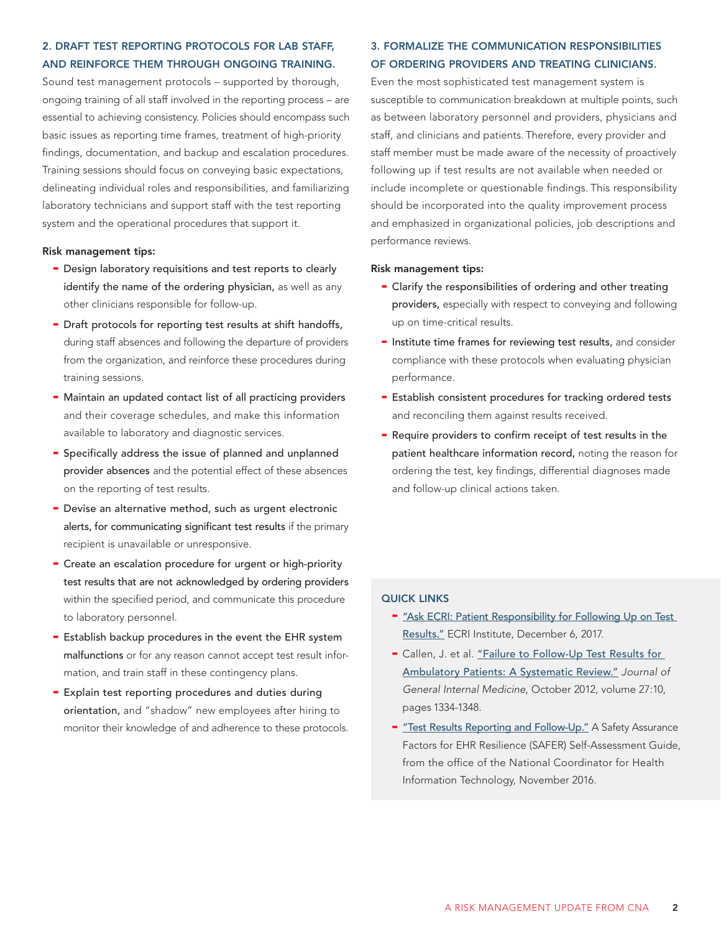# 2. DRAFT TEST REPORTING PROTOCOLS FOR LAB STAFF, AND REINFORCE THEM THROUGH ONGOING TRAINING.

Sound test management protocols – supported by thorough, ongoing training of all staff involved in the reporting process – are essential to achieving consistency. Policies should encompass such basic issues as reporting time frames, treatment of high-priority findings, documentation, and backup and escalation procedures. Training sessions should focus on conveying basic expectations, delineating individual roles and responsibilities, and familiarizing laboratory technicians and support staff with the test reporting system and the operational procedures that support it.

#### Risk management tips:

- Design laboratory requisitions and test reports to clearly identify the name of the ordering physician, as well as any other clinicians responsible for follow-up.
- Draft protocols for reporting test results at shift handoffs, during staff absences and following the departure of providers from the organization, and reinforce these procedures during training sessions.
- Maintain an updated contact list of all practicing providers and their coverage schedules, and make this information available to laboratory and diagnostic services.
- Specifically address the issue of planned and unplanned provider absences and the potential effect of these absences on the reporting of test results.
- Devise an alternative method, such as urgent electronic alerts, for communicating significant test results if the primary recipient is unavailable or unresponsive.
- Create an escalation procedure for urgent or high-priority test results that are not acknowledged by ordering providers within the specified period, and communicate this procedure to laboratory personnel.
- Establish backup procedures in the event the EHR system malfunctions or for any reason cannot accept test result information, and train staff in these contingency plans.
- Explain test reporting procedures and duties during orientation, and "shadow" new employees after hiring to monitor their knowledge of and adherence to these protocols.

# 3. FORMALIZE THE COMMUNICATION RESPONSIBILITIES OF ORDERING PROVIDERS AND TREATING CLINICIANS.

Even the most sophisticated test management system is susceptible to communication breakdown at multiple points, such as between laboratory personnel and providers, physicians and staff, and clinicians and patients. Therefore, every provider and staff member must be made aware of the necessity of proactively following up if test results are not available when needed or include incomplete or questionable findings. This responsibility should be incorporated into the quality improvement process and emphasized in organizational policies, job descriptions and performance reviews.

# Risk management tips:

- Clarify the responsibilities of ordering and other treating providers, especially with respect to conveying and following up on time-critical results.
- Institute time frames for reviewing test results, and consider compliance with these protocols when evaluating physician performance.
- Establish consistent procedures for tracking ordered tests and reconciling them against results received.
- Require providers to confirm receipt of test results in the patient healthcare information record, noting the reason for ordering the test, key findings, differential diagnoses made and follow-up clinical actions taken.

# QUICK LINKS

- "Ask ECRI: Patient Responsibility for Following Up on Test [Results."](https://www.ecri.org/components/PPRM/Pages/AskECRI120617.aspx) ECRI Institute, December 6, 2017.
- Callen, J. et al. "Failure to Follow-Up Test Results for [Ambulatory Patients: A Systematic Review."](https://www.ncbi.nlm.nih.gov/pmc/articles/PMC3445672/) Journal of General Internal Medicine, October 2012, volume 27:10, pages 1334-1348.
- ["Test Results Reporting and Follow-Up."](https://www.healthit.gov/sites/default/files/safer_test_results_reporting.pdf) A Safety Assurance Factors for EHR Resilience (SAFER) Self-Assessment Guide, from the office of the National Coordinator for Health Information Technology, November 2016.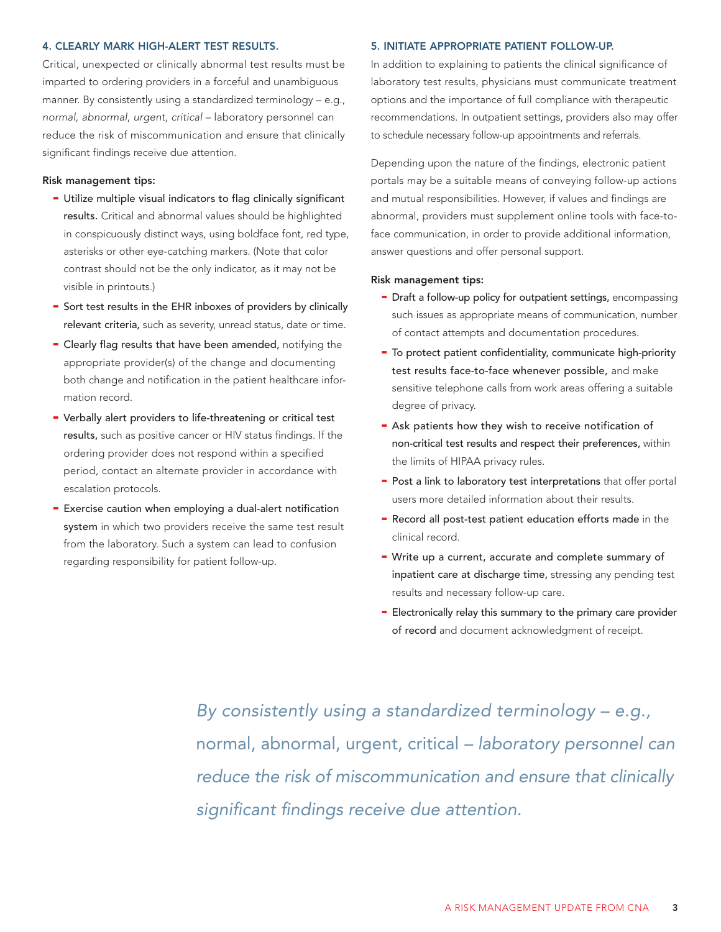#### 4. CLEARLY MARK HIGH-ALERT TEST RESULTS.

Critical, unexpected or clinically abnormal test results must be imparted to ordering providers in a forceful and unambiguous manner. By consistently using a standardized terminology – e.g., normal, abnormal, urgent, critical – laboratory personnel can reduce the risk of miscommunication and ensure that clinically significant findings receive due attention.

#### Risk management tips:

- Utilize multiple visual indicators to flag clinically significant results. Critical and abnormal values should be highlighted in conspicuously distinct ways, using boldface font, red type, asterisks or other eye-catching markers. (Note that color contrast should not be the only indicator, as it may not be visible in printouts.)
- Sort test results in the EHR inboxes of providers by clinically relevant criteria, such as severity, unread status, date or time.
- Clearly flag results that have been amended, notifying the appropriate provider(s) of the change and documenting both change and notification in the patient healthcare information record.
- Verbally alert providers to life-threatening or critical test results, such as positive cancer or HIV status findings. If the ordering provider does not respond within a specified period, contact an alternate provider in accordance with escalation protocols.
- Exercise caution when employing a dual-alert notification system in which two providers receive the same test result from the laboratory. Such a system can lead to confusion regarding responsibility for patient follow-up.

#### 5. INITIATE APPROPRIATE PATIENT FOLLOW-UP.

In addition to explaining to patients the clinical significance of laboratory test results, physicians must communicate treatment options and the importance of full compliance with therapeutic recommendations. In outpatient settings, providers also may offer to schedule necessary follow-up appointments and referrals.

Depending upon the nature of the findings, electronic patient portals may be a suitable means of conveying follow-up actions and mutual responsibilities. However, if values and findings are abnormal, providers must supplement online tools with face-toface communication, in order to provide additional information, answer questions and offer personal support.

#### Risk management tips:

- Draft a follow-up policy for outpatient settings, encompassing such issues as appropriate means of communication, number of contact attempts and documentation procedures.
- To protect patient confidentiality, communicate high-priority test results face-to-face whenever possible, and make sensitive telephone calls from work areas offering a suitable degree of privacy.
- Ask patients how they wish to receive notification of non-critical test results and respect their preferences, within the limits of HIPAA privacy rules.
- Post a link to laboratory test interpretations that offer portal users more detailed information about their results.
- Record all post-test patient education efforts made in the clinical record.
- Write up a current, accurate and complete summary of inpatient care at discharge time, stressing any pending test results and necessary follow-up care.
- Electronically relay this summary to the primary care provider of record and document acknowledgment of receipt.

By consistently using a standardized terminology – e.g., normal, abnormal, urgent, critical – laboratory personnel can reduce the risk of miscommunication and ensure that clinically significant findings receive due attention.